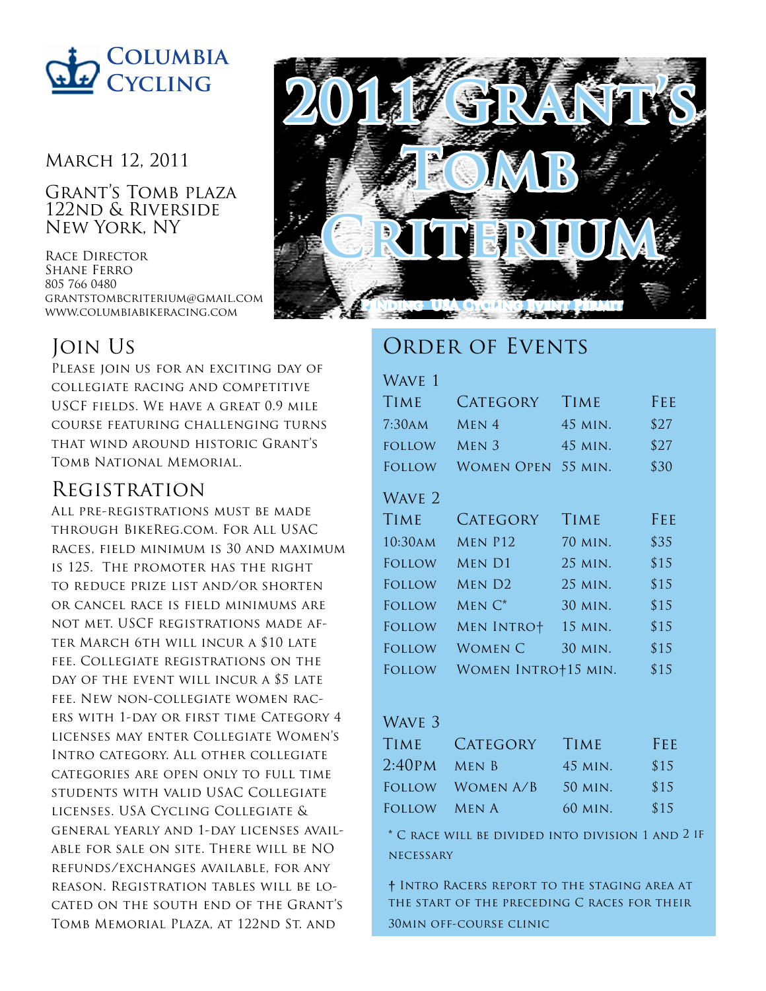

#### March 12, 2011

Grant's Tomb plaza 122nd & Riverside New York, NY

Race Director Shane Ferro 805 766 0480 grantstombcriterium@gmail.com www.columbiabikeracing.com

# Join Us

PLEASE JOIN US FOR AN EXCITING DAY OF collegiate racing and competitive USCF fields. We have a great 0.9 mile course featuring challenging turns that wind around historic Grant's Tomb National Memorial.

## Registration

All pre-registrations must be made through BikeReg.com. For All USAC races, field minimum is 30 and maximum is 125. The promoter has the right to reduce prize list and/or shorten or cancel race is field minimums are not met. USCF registrations made after March 6th will incur a \$10 late fee. Collegiate registrations on the day of the event will incur a \$5 late fee. New non-collegiate women racers with 1-day or first time Category 4 licenses may enter Collegiate Women's Intro category. All other collegiate categories are open only to full time students with valid USAC Collegiate licenses. USA Cycling Collegiate & general yearly and 1-day licenses available for sale on site. There will be NO refunds/exchanges available, for any reason. Registration tables will be located on the south end of the Grant's Tomb Memorial Plaza, at 122nd St. and



## ORDER OF EVENTS

#### WAVE 1

| <b>TIME</b>   | <b>CATEGORY</b>     | <b>TIME</b> | FEE  |
|---------------|---------------------|-------------|------|
| 7:30AM        | $MEN$ 4             | 45 MIN.     | \$27 |
| <b>FOLLOW</b> | MEN <sub>3</sub>    | 45 MIN.     | \$27 |
| FOLLOW        | WOMEN OPEN          | 55 MIN.     | \$30 |
| WAVE 2        |                     |             |      |
| <b>TIME</b>   | <b>CATEGORY</b>     | <b>TIME</b> | FEE  |
| 10:30AM       | MEN P12             | 70 MIN.     | \$35 |
| FOLLOW        | MEN D1              | 25 MIN.     | \$15 |
| FOLLOW        | MEN D <sub>2</sub>  | 25 MIN.     | \$15 |
| FOLLOW        | $MEN C^*$           | 30 MIN.     | \$15 |
| <b>FOLLOW</b> | <b>MEN INTRO+</b>   | 15 MIN.     | \$15 |
| FOLLOW        | WOMEN C             | 30 MIN.     | \$15 |
| FOLLOW        | WOMEN INTRO+15 MIN. |             | \$15 |

#### WAVE 3

| <b>TIME</b>    | CATEGORY         | <b>TIME</b> | FEE  |
|----------------|------------------|-------------|------|
| $2:40PM$ MEN B |                  | 45 MIN.     | \$15 |
|                | FOLLOW WOMEN A/B | 50 MIN.     | \$15 |
| FOLLOW MEN A   |                  | 60 MIN.     | \$15 |

**\*** C race will be divided into division 1 and 2 if **NECESSARY** 

**†** Intro Racers report to the staging area at the start of the preceding C races for their 30min off-course clinic